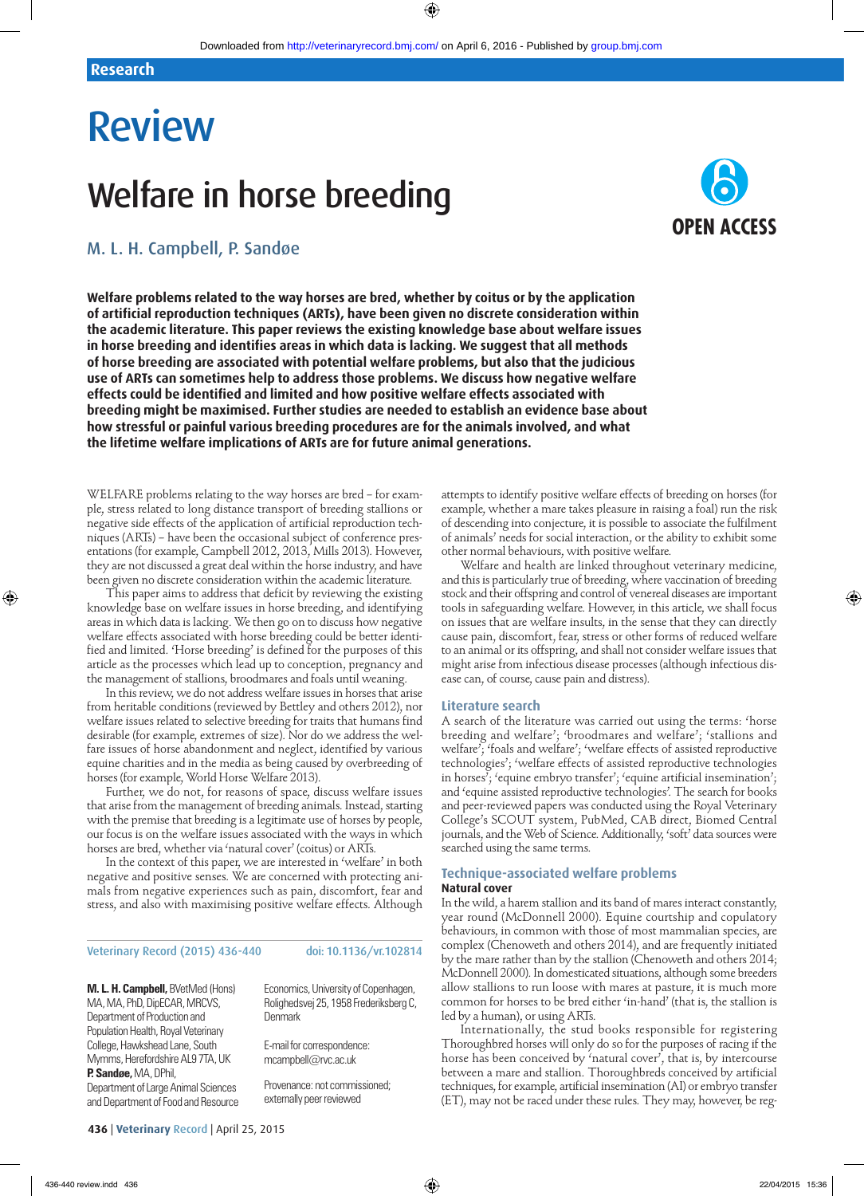# Review

# Welfare in horse breeding



# M. L. H. Campbell, P. Sandøe

**Welfare problems related to the way horses are bred, whether by coitus or by the application of artificial reproduction techniques (ARTs), have been given no discrete consideration within the academic literature. This paper reviews the existing knowledge base about welfare issues in horse breeding and identifies areas in which data is lacking. We suggest that all methods of horse breeding are associated with potential welfare problems, but also that the judicious use of ARTs can sometimes help to address those problems. We discuss how negative welfare effects could be identified and limited and how positive welfare effects associated with breeding might be maximised. Further studies are needed to establish an evidence base about how stressful or painful various breeding procedures are for the animals involved, and what the lifetime welfare implications of ARTs are for future animal generations.**

WELFARE problems relating to the way horses are bred - for example, stress related to long distance transport of breeding stallions or negative side effects of the application of artificial reproduction techniques (ARTs) – have been the occasional subject of conference presentations (for example, Campbell 2012, 2013, Mills 2013). However, they are not discussed a great deal within the horse industry, and have been given no discrete consideration within the academic literature.

This paper aims to address that deficit by reviewing the existing knowledge base on welfare issues in horse breeding, and identifying areas in which data is lacking. We then go on to discuss how negative welfare effects associated with horse breeding could be better identified and limited. 'Horse breeding' is defined for the purposes of this article as the processes which lead up to conception, pregnancy and the management of stallions, broodmares and foals until weaning.

In this review, we do not address welfare issues in horses that arise from heritable conditions (reviewed by Bettley and others 2012), nor welfare issues related to selective breeding for traits that humans find desirable (for example, extremes of size). Nor do we address the welfare issues of horse abandonment and neglect, identified by various equine charities and in the media as being caused by overbreeding of horses (for example, World Horse Welfare 2013).

Further, we do not, for reasons of space, discuss welfare issues that arise from the management of breeding animals. Instead, starting with the premise that breeding is a legitimate use of horses by people, our focus is on the welfare issues associated with the ways in which horses are bred, whether via 'natural cover' (coitus) or ARTs.

In the context of this paper, we are interested in 'welfare' in both negative and positive senses. We are concerned with protecting animals from negative experiences such as pain, discomfort, fear and stress, and also with maximising positive welfare effects. Although

## Veterinary Record (2015) 436-440 doi: 10.1136/vr.102814

**M. L. H. Campbell,** BVetMed (Hons) MA, MA, PhD, DipECAR, MRCVS, Department of Production and Population Health, Royal Veterinary College, Hawkshead Lane, South Mymms, Herefordshire AL9 7TA, UK **P. Sandøe,** MA, DPhil,

Department of Large Animal Sciences and Department of Food and Resource Economics, University of Copenhagen, Rolighedsvej 25, 1958 Frederiksberg C, Denmark

E-mail for correspondence: mcampbell@rvc.ac.uk

Provenance: not commissioned; externally peer reviewed

attempts to identify positive welfare effects of breeding on horses (for example, whether a mare takes pleasure in raising a foal) run the risk of descending into conjecture, it is possible to associate the fulfilment of animals' needs for social interaction, or the ability to exhibit some other normal behaviours, with positive welfare.

Welfare and health are linked throughout veterinary medicine, and this is particularly true of breeding, where vaccination of breeding stock and their offspring and control of venereal diseases are important tools in safeguarding welfare. However, in this article, we shall focus on issues that are welfare insults, in the sense that they can directly cause pain, discomfort, fear, stress or other forms of reduced welfare to an animal or its offspring, and shall not consider welfare issues that might arise from infectious disease processes (although infectious disease can, of course, cause pain and distress).

#### **Literature search**

A search of the literature was carried out using the terms: 'horse breeding and welfare'; 'broodmares and welfare'; 'stallions and welfare'; 'foals and welfare'; 'welfare effects of assisted reproductive technologies'; 'welfare effects of assisted reproductive technologies in horses'; 'equine embryo transfer'; 'equine artificial insemination'; and 'equine assisted reproductive technologies'. The search for books and peer-reviewed papers was conducted using the Royal Veterinary College's SCOUT system, PubMed, CAB direct, Biomed Central journals, and the Web of Science. Additionally, 'soft' data sources were searched using the same terms.

#### **Technique-associated welfare problems Natural cover**

In the wild, a harem stallion and its band of mares interact constantly, year round (McDonnell 2000). Equine courtship and copulatory behaviours, in common with those of most mammalian species, are complex (Chenoweth and others 2014), and are frequently initiated by the mare rather than by the stallion (Chenoweth and others 2014; McDonnell 2000). In domesticated situations, although some breeders allow stallions to run loose with mares at pasture, it is much more common for horses to be bred either 'in-hand' (that is, the stallion is led by a human), or using ARTs.

Internationally, the stud books responsible for registering Thoroughbred horses will only do so for the purposes of racing if the horse has been conceived by 'natural cover', that is, by intercourse between a mare and stallion. Thoroughbreds conceived by artificial techniques, for example, artificial insemination (AI) or embryo transfer (ET), may not be raced under these rules. They may, however, be reg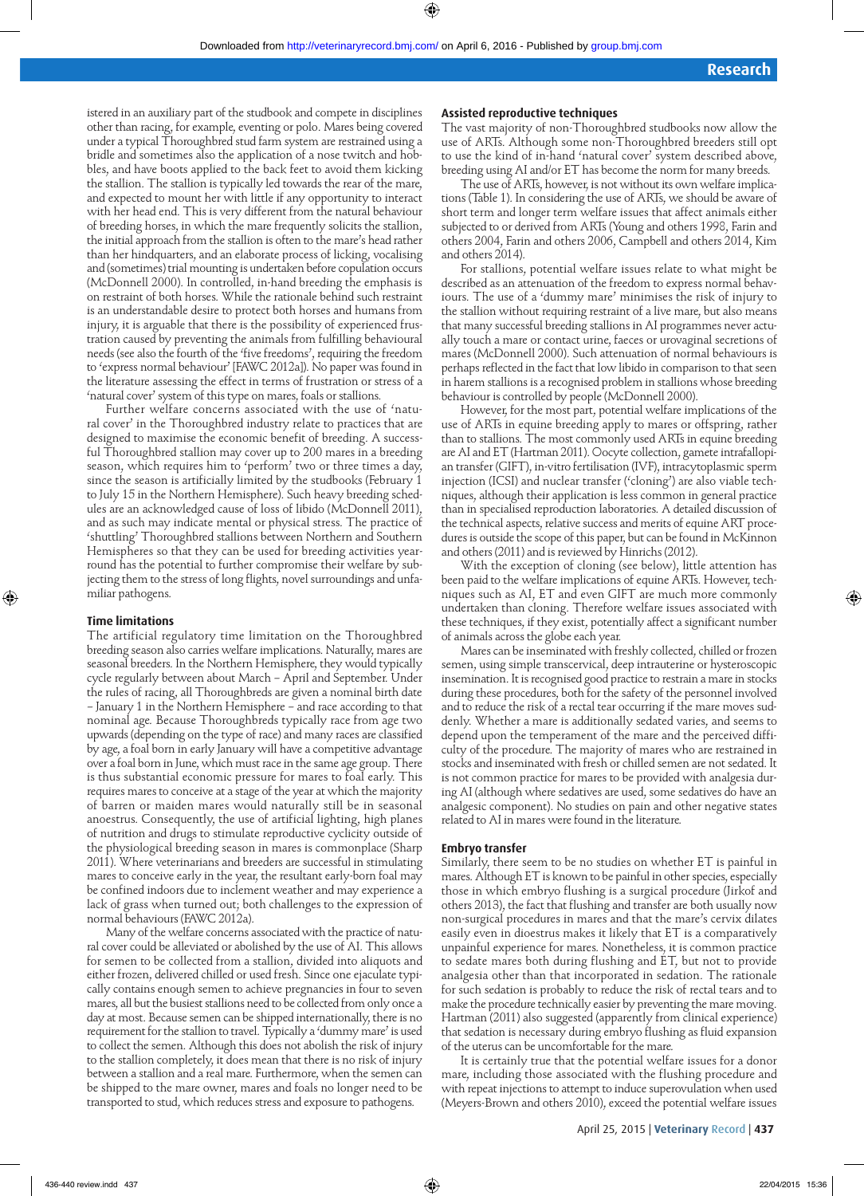istered in an auxiliary part of the studbook and compete in disciplines other than racing, for example, eventing or polo. Mares being covered under a typical Thoroughbred stud farm system are restrained using a bridle and sometimes also the application of a nose twitch and hobbles, and have boots applied to the back feet to avoid them kicking the stallion. The stallion is typically led towards the rear of the mare, and expected to mount her with little if any opportunity to interact with her head end. This is very different from the natural behaviour of breeding horses, in which the mare frequently solicits the stallion, the initial approach from the stallion is often to the mare's head rather than her hindquarters, and an elaborate process of licking, vocalising and (sometimes) trial mounting is undertaken before copulation occurs (McDonnell 2000). In controlled, in-hand breeding the emphasis is on restraint of both horses. While the rationale behind such restraint is an understandable desire to protect both horses and humans from injury, it is arguable that there is the possibility of experienced frustration caused by preventing the animals from fulfilling behavioural needs (see also the fourth of the 'five freedoms', requiring the freedom to 'express normal behaviour' [FAWC 2012a]). No paper was found in the literature assessing the effect in terms of frustration or stress of a 'natural cover' system of this type on mares, foals or stallions.

Further welfare concerns associated with the use of 'natural cover' in the Thoroughbred industry relate to practices that are designed to maximise the economic benefit of breeding. A successful Thoroughbred stallion may cover up to 200 mares in a breeding season, which requires him to 'perform' two or three times a day, since the season is artificially limited by the studbooks (February 1 to July 15 in the Northern Hemisphere). Such heavy breeding schedules are an acknowledged cause of loss of libido (McDonnell 2011), and as such may indicate mental or physical stress. The practice of 'shuttling' Thoroughbred stallions between Northern and Southern Hemispheres so that they can be used for breeding activities yearround has the potential to further compromise their welfare by subjecting them to the stress of long flights, novel surroundings and unfamiliar pathogens.

## **Time limitations**

The artificial regulatory time limitation on the Thoroughbred breeding season also carries welfare implications. Naturally, mares are seasonal breeders. In the Northern Hemisphere, they would typically cycle regularly between about March – April and September. Under the rules of racing, all Thoroughbreds are given a nominal birth date – January 1 in the Northern Hemisphere – and race according to that nominal age. Because Thoroughbreds typically race from age two upwards (depending on the type of race) and many races are classified by age, a foal born in early January will have a competitive advantage over a foal born in June, which must race in the same age group. There is thus substantial economic pressure for mares to foal early. This requires mares to conceive at a stage of the year at which the majority of barren or maiden mares would naturally still be in seasonal anoestrus. Consequently, the use of artificial lighting, high planes of nutrition and drugs to stimulate reproductive cyclicity outside of the physiological breeding season in mares is commonplace (Sharp 2011). Where veterinarians and breeders are successful in stimulating mares to conceive early in the year, the resultant early-born foal may be confined indoors due to inclement weather and may experience a lack of grass when turned out; both challenges to the expression of normal behaviours (FAWC 2012a).

Many of the welfare concerns associated with the practice of natural cover could be alleviated or abolished by the use of AI. This allows for semen to be collected from a stallion, divided into aliquots and either frozen, delivered chilled or used fresh. Since one ejaculate typically contains enough semen to achieve pregnancies in four to seven mares, all but the busiest stallions need to be collected from only once a day at most. Because semen can be shipped internationally, there is no requirement for the stallion to travel. Typically a 'dummy mare' is used to collect the semen. Although this does not abolish the risk of injury to the stallion completely, it does mean that there is no risk of injury between a stallion and a real mare. Furthermore, when the semen can be shipped to the mare owner, mares and foals no longer need to be transported to stud, which reduces stress and exposure to pathogens.

## **Assisted reproductive techniques**

The vast majority of non-Thoroughbred studbooks now allow the use of ARTs. Although some non-Thoroughbred breeders still opt to use the kind of in-hand 'natural cover' system described above, breeding using AI and/or ET has become the norm for many breeds.

The use of ARTs, however, is not without its own welfare implications (Table 1). In considering the use of ARTs, we should be aware of short term and longer term welfare issues that affect animals either subjected to or derived from ARTs (Young and others 1998, Farin and others 2004, Farin and others 2006, Campbell and others 2014, Kim and others 2014).

For stallions, potential welfare issues relate to what might be described as an attenuation of the freedom to express normal behaviours. The use of a 'dummy mare' minimises the risk of injury to the stallion without requiring restraint of a live mare, but also means that many successful breeding stallions in AI programmes never actually touch a mare or contact urine, faeces or urovaginal secretions of mares (McDonnell 2000). Such attenuation of normal behaviours is perhaps reflected in the fact that low libido in comparison to that seen in harem stallions is a recognised problem in stallions whose breeding behaviour is controlled by people (McDonnell 2000).

However, for the most part, potential welfare implications of the use of ARTs in equine breeding apply to mares or offspring, rather than to stallions. The most commonly used ARTs in equine breeding are AI and ET (Hartman 2011). Oocyte collection, gamete intrafallopian transfer (GIFT), in-vitro fertilisation (IVF), intracytoplasmic sperm injection (ICSI) and nuclear transfer ('cloning') are also viable techniques, although their application is less common in general practice than in specialised reproduction laboratories. A detailed discussion of the technical aspects, relative success and merits of equine ART procedures is outside the scope of this paper, but can be found in McKinnon and others (2011) and is reviewed by Hinrichs (2012).

With the exception of cloning (see below), little attention has been paid to the welfare implications of equine ARTs. However, techniques such as AI, ET and even GIFT are much more commonly undertaken than cloning. Therefore welfare issues associated with these techniques, if they exist, potentially affect a significant number of animals across the globe each year.

Mares can be inseminated with freshly collected, chilled or frozen semen, using simple transcervical, deep intrauterine or hysteroscopic insemination. It is recognised good practice to restrain a mare in stocks during these procedures, both for the safety of the personnel involved and to reduce the risk of a rectal tear occurring if the mare moves suddenly. Whether a mare is additionally sedated varies, and seems to depend upon the temperament of the mare and the perceived difficulty of the procedure. The majority of mares who are restrained in stocks and inseminated with fresh or chilled semen are not sedated. It is not common practice for mares to be provided with analgesia during AI (although where sedatives are used, some sedatives do have an analgesic component). No studies on pain and other negative states related to AI in mares were found in the literature.

#### **Embryo transfer**

Similarly, there seem to be no studies on whether ET is painful in mares. Although ET is known to be painful in other species, especially those in which embryo flushing is a surgical procedure (Jirkof and others 2013), the fact that flushing and transfer are both usually now non-surgical procedures in mares and that the mare's cervix dilates easily even in dioestrus makes it likely that ET is a comparatively unpainful experience for mares. Nonetheless, it is common practice to sedate mares both during flushing and ET, but not to provide analgesia other than that incorporated in sedation. The rationale for such sedation is probably to reduce the risk of rectal tears and to make the procedure technically easier by preventing the mare moving. Hartman (2011) also suggested (apparently from clinical experience) that sedation is necessary during embryo flushing as fluid expansion of the uterus can be uncomfortable for the mare.

It is certainly true that the potential welfare issues for a donor mare, including those associated with the flushing procedure and with repeat injections to attempt to induce superovulation when used (Meyers-Brown and others 2010), exceed the potential welfare issues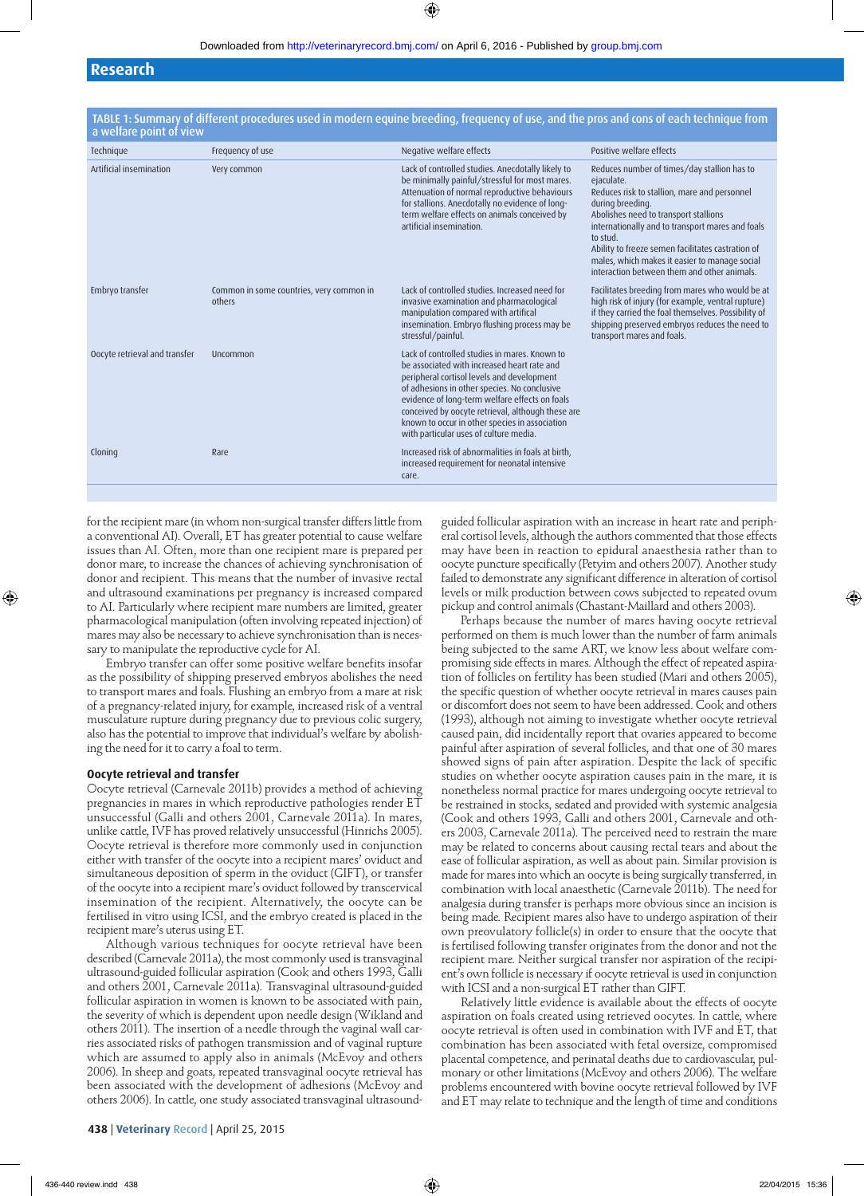| TABLE 1: Summary of different procedures used in modern equine breeding, frequency of use, and the pros and cons of each technique from<br>a welfare point of view |                                                    |                                                                                                                                                                                                                                                                                                                                                                                               |                                                                                                                                                                                                                                                                                                                                                                                             |
|--------------------------------------------------------------------------------------------------------------------------------------------------------------------|----------------------------------------------------|-----------------------------------------------------------------------------------------------------------------------------------------------------------------------------------------------------------------------------------------------------------------------------------------------------------------------------------------------------------------------------------------------|---------------------------------------------------------------------------------------------------------------------------------------------------------------------------------------------------------------------------------------------------------------------------------------------------------------------------------------------------------------------------------------------|
| Technique                                                                                                                                                          | Frequency of use                                   | Negative welfare effects                                                                                                                                                                                                                                                                                                                                                                      | Positive welfare effects                                                                                                                                                                                                                                                                                                                                                                    |
| Artificial insemination                                                                                                                                            | Very common                                        | Lack of controlled studies. Anecdotally likely to<br>be minimally painful/stressful for most mares.<br>Attenuation of normal reproductive behaviours<br>for stallions. Anecdotally no evidence of long-<br>term welfare effects on animals conceived by<br>artificial insemination.                                                                                                           | Reduces number of times/day stallion has to<br>ejaculate.<br>Reduces risk to stallion, mare and personnel<br>during breeding.<br>Abolishes need to transport stallions<br>internationally and to transport mares and foals<br>to stud.<br>Ability to freeze semen facilitates castration of<br>males, which makes it easier to manage social<br>interaction between them and other animals. |
| Embryo transfer                                                                                                                                                    | Common in some countries, very common in<br>others | Lack of controlled studies. Increased need for<br>invasive examination and pharmacological<br>manipulation compared with artifical<br>insemination. Embryo flushing process may be<br>stressful/painful.                                                                                                                                                                                      | Facilitates breeding from mares who would be at<br>high risk of injury (for example, ventral rupture)<br>if they carried the foal themselves. Possibility of<br>shipping preserved embryos reduces the need to<br>transport mares and foals.                                                                                                                                                |
| Oocyte retrieval and transfer                                                                                                                                      | Uncommon                                           | Lack of controlled studies in mares. Known to<br>be associated with increased heart rate and<br>peripheral cortisol levels and development<br>of adhesions in other species. No conclusive<br>evidence of long-term welfare effects on foals<br>conceived by oocyte retrieval, although these are<br>known to occur in other species in association<br>with particular uses of culture media. |                                                                                                                                                                                                                                                                                                                                                                                             |
| Cloning                                                                                                                                                            | Rare                                               | Increased risk of abnormalities in foals at birth,<br>increased requirement for neonatal intensive<br>care.                                                                                                                                                                                                                                                                                   |                                                                                                                                                                                                                                                                                                                                                                                             |

for the recipient mare (in whom non-surgical transfer differs little from a conventional AI). Overall, ET has greater potential to cause welfare issues than AI. Often, more than one recipient mare is prepared per donor mare, to increase the chances of achieving synchronisation of donor and recipient. This means that the number of invasive rectal and ultrasound examinations per pregnancy is increased compared to AI. Particularly where recipient mare numbers are limited, greater pharmacological manipulation (often involving repeated injection) of mares may also be necessary to achieve synchronisation than is necessary to manipulate the reproductive cycle for AI.

Embryo transfer can offer some positive welfare benefits insofar as the possibility of shipping preserved embryos abolishes the need to transport mares and foals. Flushing an embryo from a mare at risk of a pregnancy-related injury, for example, increased risk of a ventral musculature rupture during pregnancy due to previous colic surgery, also has the potential to improve that individual's welfare by abolishing the need for it to carry a foal to term.

## **Oocyte retrieval and transfer**

Oocyte retrieval (Carnevale 2011b) provides a method of achieving pregnancies in mares in which reproductive pathologies render ET unsuccessful (Galli and others 2001, Carnevale 2011a). In mares, unlike cattle, IVF has proved relatively unsuccessful (Hinrichs 2005). Oocyte retrieval is therefore more commonly used in conjunction either with transfer of the oocyte into a recipient mares' oviduct and simultaneous deposition of sperm in the oviduct (GIFT), or transfer of the oocyte into a recipient mare's oviduct followed by transcervical insemination of the recipient. Alternatively, the oocyte can be fertilised in vitro using ICSI, and the embryo created is placed in the recipient mare's uterus using ET.

Although various techniques for oocyte retrieval have been described (Carnevale 2011a), the most commonly used is transvaginal ultrasound-guided follicular aspiration (Cook and others 1993, Galli and others 2001, Carnevale 2011a). Transvaginal ultrasound-guided follicular aspiration in women is known to be associated with pain, the severity of which is dependent upon needle design (Wikland and others 2011). The insertion of a needle through the vaginal wall carries associated risks of pathogen transmission and of vaginal rupture which are assumed to apply also in animals (McEvoy and others 2006). In sheep and goats, repeated transvaginal oocyte retrieval has been associated with the development of adhesions (McEvoy and others 2006). In cattle, one study associated transvaginal ultrasound-

guided follicular aspiration with an increase in heart rate and peripheral cortisol levels, although the authors commented that those effects may have been in reaction to epidural anaesthesia rather than to oocyte puncture specifically (Petyim and others 2007). Another study failed to demonstrate any significant difference in alteration of cortisol levels or milk production between cows subjected to repeated ovum pickup and control animals (Chastant-Maillard and others 2003).

Perhaps because the number of mares having oocyte retrieval performed on them is much lower than the number of farm animals being subjected to the same ART, we know less about welfare compromising side effects in mares. Although the effect of repeated aspiration of follicles on fertility has been studied (Mari and others 2005), the specific question of whether oocyte retrieval in mares causes pain or discomfort does not seem to have been addressed. Cook and others (1993), although not aiming to investigate whether oocyte retrieval caused pain, did incidentally report that ovaries appeared to become painful after aspiration of several follicles, and that one of 30 mares showed signs of pain after aspiration. Despite the lack of specific studies on whether oocyte aspiration causes pain in the mare, it is nonetheless normal practice for mares undergoing oocyte retrieval to be restrained in stocks, sedated and provided with systemic analgesia (Cook and others 1993, Galli and others 2001, Carnevale and others 2003, Carnevale 2011a). The perceived need to restrain the mare may be related to concerns about causing rectal tears and about the ease of follicular aspiration, as well as about pain. Similar provision is made for mares into which an oocyte is being surgically transferred, in combination with local anaesthetic (Carnevale 2011b). The need for analgesia during transfer is perhaps more obvious since an incision is being made. Recipient mares also have to undergo aspiration of their own preovulatory follicle(s) in order to ensure that the oocyte that is fertilised following transfer originates from the donor and not the recipient mare. Neither surgical transfer nor aspiration of the recipient's own follicle is necessary if oocyte retrieval is used in conjunction with ICSI and a non-surgical ET rather than GIFT.

Relatively little evidence is available about the effects of oocyte aspiration on foals created using retrieved oocytes. In cattle, where oocyte retrieval is often used in combination with IVF and ET, that combination has been associated with fetal oversize, compromised placental competence, and perinatal deaths due to cardiovascular, pulmonary or other limitations (McEvoy and others 2006). The welfare problems encountered with bovine oocyte retrieval followed by IVF and ET may relate to technique and the length of time and conditions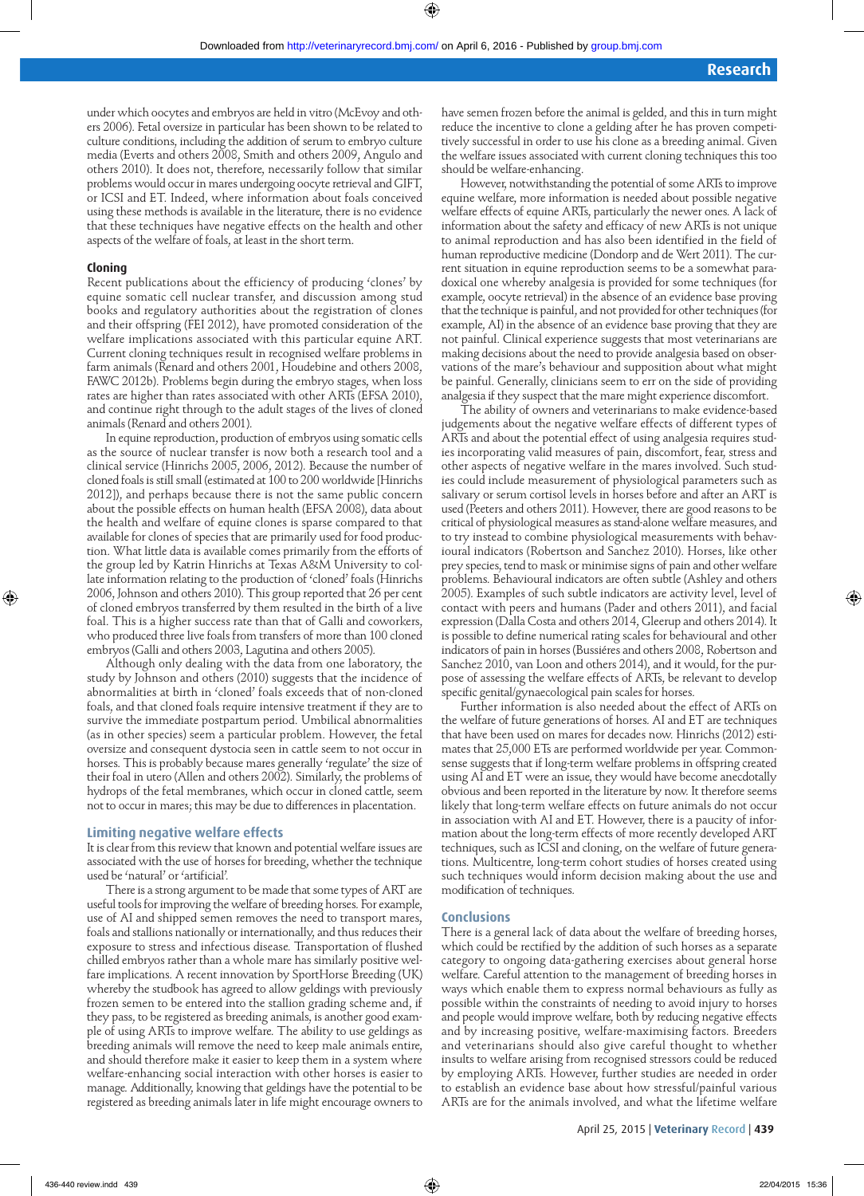under which oocytes and embryos are held in vitro (McEvoy and others 2006). Fetal oversize in particular has been shown to be related to culture conditions, including the addition of serum to embryo culture media (Everts and others 2008, Smith and others 2009, Angulo and others 2010). It does not, therefore, necessarily follow that similar problems would occur in mares undergoing oocyte retrieval and GIFT, or ICSI and ET. Indeed, where information about foals conceived using these methods is available in the literature, there is no evidence that these techniques have negative effects on the health and other aspects of the welfare of foals, at least in the short term.

#### **Cloning**

Recent publications about the efficiency of producing 'clones' by equine somatic cell nuclear transfer, and discussion among stud books and regulatory authorities about the registration of clones and their offspring (FEI 2012), have promoted consideration of the welfare implications associated with this particular equine ART. Current cloning techniques result in recognised welfare problems in farm animals (Renard and others 2001, Houdebine and others 2008, FAWC 2012b). Problems begin during the embryo stages, when loss rates are higher than rates associated with other ARTs (EFSA 2010), and continue right through to the adult stages of the lives of cloned animals (Renard and others 2001).

In equine reproduction, production of embryos using somatic cells as the source of nuclear transfer is now both a research tool and a clinical service (Hinrichs 2005, 2006, 2012). Because the number of cloned foals is still small (estimated at 100 to 200 worldwide [Hinrichs 2012]), and perhaps because there is not the same public concern about the possible effects on human health (EFSA 2008), data about the health and welfare of equine clones is sparse compared to that available for clones of species that are primarily used for food production. What little data is available comes primarily from the efforts of the group led by Katrin Hinrichs at Texas A&M University to collate information relating to the production of 'cloned' foals (Hinrichs 2006, Johnson and others 2010). This group reported that 26 per cent of cloned embryos transferred by them resulted in the birth of a live foal. This is a higher success rate than that of Galli and coworkers, who produced three live foals from transfers of more than 100 cloned embryos (Galli and others 2003, Lagutina and others 2005).

Although only dealing with the data from one laboratory, the study by Johnson and others (2010) suggests that the incidence of abnormalities at birth in 'cloned' foals exceeds that of non-cloned foals, and that cloned foals require intensive treatment if they are to survive the immediate postpartum period. Umbilical abnormalities (as in other species) seem a particular problem. However, the fetal oversize and consequent dystocia seen in cattle seem to not occur in horses. This is probably because mares generally 'regulate' the size of their foal in utero (Allen and others 2002). Similarly, the problems of hydrops of the fetal membranes, which occur in cloned cattle, seem not to occur in mares; this may be due to differences in placentation.

# **Limiting negative welfare effects**

It is clear from this review that known and potential welfare issues are associated with the use of horses for breeding, whether the technique used be 'natural' or 'artificial'.

There is a strong argument to be made that some types of ART are useful tools for improving the welfare of breeding horses. For example, use of AI and shipped semen removes the need to transport mares, foals and stallions nationally or internationally, and thus reduces their exposure to stress and infectious disease. Transportation of flushed chilled embryos rather than a whole mare has similarly positive welfare implications. A recent innovation by SportHorse Breeding (UK) whereby the studbook has agreed to allow geldings with previously frozen semen to be entered into the stallion grading scheme and, if they pass, to be registered as breeding animals, is another good example of using ARTs to improve welfare. The ability to use geldings as breeding animals will remove the need to keep male animals entire, and should therefore make it easier to keep them in a system where welfare-enhancing social interaction with other horses is easier to manage. Additionally, knowing that geldings have the potential to be registered as breeding animals later in life might encourage owners to have semen frozen before the animal is gelded, and this in turn might reduce the incentive to clone a gelding after he has proven competitively successful in order to use his clone as a breeding animal. Given the welfare issues associated with current cloning techniques this too should be welfare-enhancing.

However, notwithstanding the potential of some ARTs to improve equine welfare, more information is needed about possible negative welfare effects of equine ARTs, particularly the newer ones. A lack of information about the safety and efficacy of new ARTs is not unique to animal reproduction and has also been identified in the field of human reproductive medicine (Dondorp and de Wert 2011). The current situation in equine reproduction seems to be a somewhat paradoxical one whereby analgesia is provided for some techniques (for example, oocyte retrieval) in the absence of an evidence base proving that the technique is painful, and not provided for other techniques (for example, AI) in the absence of an evidence base proving that they are not painful. Clinical experience suggests that most veterinarians are making decisions about the need to provide analgesia based on observations of the mare's behaviour and supposition about what might be painful. Generally, clinicians seem to err on the side of providing analgesia if they suspect that the mare might experience discomfort.

The ability of owners and veterinarians to make evidence-based judgements about the negative welfare effects of different types of ARTs and about the potential effect of using analgesia requires studies incorporating valid measures of pain, discomfort, fear, stress and other aspects of negative welfare in the mares involved. Such studies could include measurement of physiological parameters such as salivary or serum cortisol levels in horses before and after an ART is used (Peeters and others 2011). However, there are good reasons to be critical of physiological measures as stand-alone welfare measures, and to try instead to combine physiological measurements with behavioural indicators (Robertson and Sanchez 2010). Horses, like other prey species, tend to mask or minimise signs of pain and other welfare problems. Behavioural indicators are often subtle (Ashley and others 2005). Examples of such subtle indicators are activity level, level of contact with peers and humans (Pader and others 2011), and facial expression (Dalla Costa and others 2014, Gleerup and others 2014). It is possible to define numerical rating scales for behavioural and other indicators of pain in horses (Bussiéres and others 2008, Robertson and Sanchez 2010, van Loon and others 2014), and it would, for the purpose of assessing the welfare effects of ARTs, be relevant to develop specific genital/gynaecological pain scales for horses.

Further information is also needed about the effect of ARTs on the welfare of future generations of horses. AI and ET are techniques that have been used on mares for decades now. Hinrichs (2012) estimates that 25,000 ETs are performed worldwide per year. Commonsense suggests that if long-term welfare problems in offspring created using AI and ET were an issue, they would have become anecdotally obvious and been reported in the literature by now. It therefore seems likely that long-term welfare effects on future animals do not occur in association with AI and ET. However, there is a paucity of information about the long-term effects of more recently developed ART techniques, such as ICSI and cloning, on the welfare of future generations. Multicentre, long-term cohort studies of horses created using such techniques would inform decision making about the use and modification of techniques.

#### **Conclusions**

There is a general lack of data about the welfare of breeding horses, which could be rectified by the addition of such horses as a separate category to ongoing data-gathering exercises about general horse welfare. Careful attention to the management of breeding horses in ways which enable them to express normal behaviours as fully as possible within the constraints of needing to avoid injury to horses and people would improve welfare, both by reducing negative effects and by increasing positive, welfare-maximising factors. Breeders and veterinarians should also give careful thought to whether insults to welfare arising from recognised stressors could be reduced by employing ARTs. However, further studies are needed in order to establish an evidence base about how stressful/painful various ARTs are for the animals involved, and what the lifetime welfare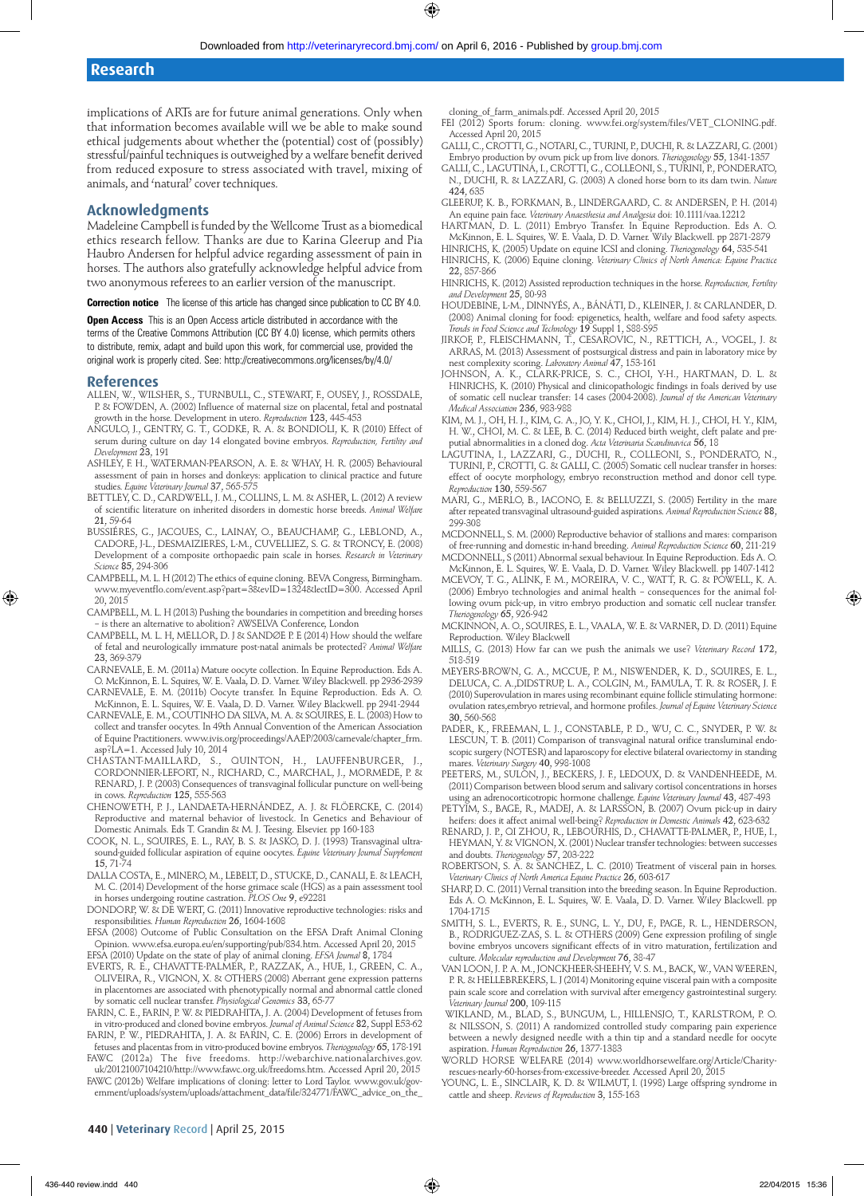implications of ARTs are for future animal generations. Only when that information becomes available will we be able to make sound ethical judgements about whether the (potential) cost of (possibly) stressful/painful techniques is outweighed by a welfare benefit derived from reduced exposure to stress associated with travel, mixing of animals, and 'natural' cover techniques.

# **Acknowledgments**

Madeleine Campbell is funded by the Wellcome Trust as a biomedical ethics research fellow. Thanks are due to Karina Gleerup and Pia Haubro Andersen for helpful advice regarding assessment of pain in horses. The authors also gratefully acknowledge helpful advice from two anonymous referees to an earlier version of the manuscript.

**Correction notice** The license of this article has changed since publication to CC BY 4.0.

**Open Access** This is an Open Access article distributed in accordance with the terms of the Creative Commons Attribution (CC BY 4.0) license, which permits others to distribute, remix, adapt and build upon this work, for commercial use, provided the original work is properly cited. See: http://creativecommons.org/licenses/by/4.0/

# **References**

- ALLEN, W., WILSHER, S., TURNBULL, C., STEWART, F., OUSEY, J., ROSSDALE, P. & FOWDEN, A. (2002) Influence of maternal size on placental, fetal and postnatal growth in the horse. Development in utero. *Reproduction* **123**, 445-453
- ANGULO, J., GENTRY, G. T., GODKE, R. A. & BONDIOLI, K. R (2010) Effect of serum during culture on day 14 elongated bovine embryos. *Reproduction, Fertility and Development* **23**, 191
- ASHLEY, F. H., WATERMAN-PEARSON, A. E. & WHAY, H. R. (2005) Behavioural assessment of pain in horses and donkeys: application to clinical practice and future studies. *Equine Veterinary Journal* **37**, 565-575
- BETTLEY, C. D., CARDWELL, J. M., COLLINS, L. M. & ASHER, L. (2012) A review of scientific literature on inherited disorders in domestic horse breeds. *Animal Welfare*  **21**, 59-64
- BUSSIÉRES, G., JACQUES, C., LAINAY, O., BEAUCHAMP, G., LEBLOND, A., CADORE, J-L., DESMAIZIERES, L-M., CUVELLIEZ, S. G. & TRONCY, E. (2008) Development of a composite orthopaedic pain scale in horses. *Research in Veterinary Science* **85**, 294-306
- CAMPBELL, M. L. H (2012) The ethics of equine cloning. BEVA Congress, Birmingham. www.myeventflo.com/event.asp?part=3&evID=1324&lectID=300. Accessed April 20, 2015
- CAMPBELL, M. L. H (2013) Pushing the boundaries in competition and breeding horses – is there an alternative to abolition? AWSELVA Conference, London
- CAMPBELL, M. L. H, MELLOR, D. J & SANDØE P. E (2014) How should the welfare of fetal and neurologically immature post-natal animals be protected? *Animal Welfare* **23**, 369-379
- CARNEVALE, E. M. (2011a) Mature oocyte collection. In Equine Reproduction. Eds A. O. McKinnon, E. L. Squires, W. E. Vaala, D. D. Varner. Wiley Blackwell. pp 2936-2939

CARNEVALE, E. M. (2011b) Oocyte transfer. In Equine Reproduction. Eds A. O. McKinnon, E. L. Squires, W. E. Vaala, D. D. Varner. Wiley Blackwell. pp 2941-2944

- CARNEVALE, E. M., COUTINHO DA SILVA, M. A. & SQUIRES, E. L. (2003) How to collect and transfer oocytes. In 49th Annual Convention of the American Association of Equine Practitioners. www.ivis.org/proceedings/AAEP/2003/carnevale/chapter\_frm.
- asp?LA=1. Accessed July 10, 2014<br>CHASTANT-MAILLARD, S., CHASTANT-MAILLARD, S., QUINTON, H., LAUFFENBURGER, J., CORDONNIER-LEFORT, N., RICHARD, C., MARCHAL, J., MORMEDE, P. & RENARD, J. P. (2003) Consequences of transvaginal follicular puncture on well-being in cows. *Reproduction* **125**, 555-563
- CHENOWETH, P. J., LANDAETA-HERNÁNDEZ, A. J. & FLÖERCKE, C. (2014) Reproductive and maternal behavior of livestock. In Genetics and Behaviour of Domestic Animals. Eds T. Grandin & M. J. Teesing. Elsevier. pp 160-183
- COOK, N. L., SQUIRES, E. L., RAY, B. S. & JASKO, D. J. (1993) Transvaginal uItrasound-guided follicular aspiration of equine oocytes. *Equine Veterinary Journal Supplement*  **15**, 71-74
- DALLA COSTA, E., MINERO, M., LEBELT, D., STUCKE, D., CANALI, E. & LEACH, M. C. (2014) Development of the horse grimace scale (HGS) as a pain assessment tool in horses undergoing routine castration. *PLOS One* **9**, e92281
- DONDORP, W. & DE WERT, G. (2011) Innovative reproductive technologies: risks and responsibilities. *Human Reproduction* **26**, 1604-1608
- EFSA (2008) Outcome of Public Consultation on the EFSA Draft Animal Cloning Opinion. www.efsa.europa.eu/en/supporting/pub/834.htm. Accessed April 20, 2015 EFSA (2010) Update on the state of play of animal cloning. *EFSA Journal* **8**, 1784
- EVERTS, R. E., CHAVATTE-PALMER, P., RAZZAK, A., HUE, I., GREEN, C. A.,
- OLIVEIRA, R., VIGNON, X. & OTHERS (2008) Aberrant gene expression patterns in placentomes are associated with phenotypically normal and abnormal cattle cloned by somatic cell nuclear transfer. *Physiological Genomics* **33**, 65-77
- FARIN, C. E., FARIN, P. W. & PIEDRAHITA, J. A. (2004) Development of fetuses from in vitro-produced and cloned bovine embryos. *Journal of Animal Science* **82**, Suppl E53-62 FARIN, P. W., PIEDRAHITA, J. A. & FARIN, C. E. (2006) Errors in development of
- fetuses and placentas from in vitro-produced bovine embryos. *Theriogenology* **65**, 178-191 FAWC (2012a) The five freedoms. http://webarchive.nationalarchives.gov.
- uk/20121007104210/http://www.fawc.org.uk/freedoms.htm. Accessed April 20, 2015 FAWC (2012b) Welfare implications of cloning: letter to Lord Taylor. www.gov.uk/government/uploads/system/uploads/attachment\_data/file/324771/FAWC\_advice\_on\_the\_

cloning\_of\_farm\_animals.pdf. Accessed April 20, 2015

- FEI (2012) Sports forum: cloning. www.fei.org/system/files/VET\_CLONING.pdf. Accessed April 20, 2015
- GALLI, C., CROTTI, G., NOTARI, C., TURINI, P., DUCHI, R. & LAZZARI, G. (2001) Embryo production by ovum pick up from live donors. *Theriogenology* **55**, 1341-1357
- GALLI, C., LAGUTINA, I., CROTTI, G., COLLEONI, S., TURINI, P., PONDERATO, N., DUCHI, R. & LAZZARI, G. (2003) A cloned horse born to its dam twin. *Nature*  **424**, 635
- GLEERUP, K. B., FORKMAN, B., LINDERGAARD, C. & ANDERSEN, P. H. (2014) An equine pain face. *Veterinary Anaesthesia and Analgesia* doi: 10.1111/vaa.12212
- HARTMAN, D. L. (2011) Embryo Transfer. In Equine Reproduction. Eds A. O. McKinnon, E. L. Squires, W. E. Vaala, D. D. Varner. Wily Blackwell. pp 2871-2879
- HINRICHS, K. (2005) Update on equine ICSI and cloning. *Theriogenology* **64**, 535-541
- HINRICHS, K. (2006) Equine cloning. *Veterinary Clinics of North America: Equine Practice* **22**, 857-866
- HINRICHS, K. (2012) Assisted reproduction techniques in the horse. *Reproduction, Fertility and Development* **25**, 80-93
- HOUDEBINE, L-M., DINNYÉS, A., BÁNÁTI, D., KLEINER, J. & CARLANDER, D. (2008) Animal cloning for food: epigenetics, health, welfare and food safety aspects. *Trends in Food Science and Technology* **19** Suppl 1, S88-S95
- JIRKOF, P., FLEISCHMANN, T., CESAROVIC, N., RETTICH, A., VOGEL, J. & ARRAS, M. (2013) Assessment of postsurgical distress and pain in laboratory mice by nest complexity scoring. *Laboratory Animal* **47**, 153-161
- JOHNSON, A. K., CLARK-PRICE, S. C., CHOI, Y-H., HARTMAN, D. L. & HINRICHS, K. (2010) Physical and clinicopathologic findings in foals derived by use of somatic cell nuclear transfer: 14 cases (2004-2008). *Journal of the American Veterinary Medical Association* **236**, 983-988
- KIM, M. J., OH, H. J., KIM, G. A., JO, Y. K., CHOI, J., KIM, H. J., CHOI, H. Y., KIM, H. W., CHOI, M. C. & LEE, B. C. (2014) Reduced birth weight, cleft palate and preputial abnormalities in a cloned dog. *Acta Veterinaria Scandinavica* **56**, 18
- LAGUTINA, I., LAZZARI, G., DUCHI, R., COLLEONI, S., PONDERATO, N., TURINI, P., CROTTI, G. & GALLI, C. (2005) Somatic cell nuclear transfer in horses: effect of oocyte morphology, embryo reconstruction method and donor cell type. *Reproduction* **130**, 559-567
- MARI, G., MERLO, B., IACONO, E. & BELLUZZI, S. (2005) Fertility in the mare after repeated transvaginal ultrasound-guided aspirations. *Animal Reproduction Science* **88**, 299-308
- MCDONNELL, S. M. (2000) Reproductive behavior of stallions and mares: comparison of free-running and domestic in-hand breeding. *Animal Reproduction Science* **60**, 211-219
- MCDONNELL, S (2011) Abnormal sexual behaviour. In Equine Reproduction. Eds A. O. McKinnon, E. L. Squires, W. E. Vaala, D. D. Varner. Wiley Blackwell. pp 1407-1412
- MCEVOY, T. G., ALINK, F. M., MOREIRA, V. C., WATT, R. G. & POWELL, K. A. (2006) Embryo technologies and animal health – consequences for the animal following ovum pick-up, in vitro embryo production and somatic cell nuclear transfer. *Theriogenology* **65**, 926-942
- MCKINNON, A. O., SQUIRES, E. L., VAALA, W. E. & VARNER, D. D. (2011) Equine Reproduction. Wiley Blackwell
- MILLS, G. (2013) How far can we push the animals we use? *Veterinary Record* **172**, 518-519
- MEYERS-BROWN, G. A., MCCUE, P. M., NISWENDER, K. D., SQUIRES, E. L., DELUCA, C. A.,DIDSTRUP, L. A., COLGIN, M., FAMULA, T. R. & ROSER, J. F. (2010) Superovulation in mares using recombinant equine follicle stimulating hormone: ovulation rates,embryo retrieval, and hormone profiles. *Journal of Equine Veterinary Science* **30**, 560-568
- PADER, K., FREEMAN, L. J., CONSTABLE, P. D., WU, C. C., SNYDER, P. W. & LESCUN, T. B. (2011) Comparison of transvaginal natural orifice transluminal endoscopic surgery (NOTESR) and laparoscopy for elective bilateral ovariectomy in standing mares. *Veterinary Surgery* **40**, 998-1008
- PEETERS, M., SULON, J., BECKERS, J. F., LEDOUX, D. & VANDENHEEDE, M. (2011) Comparison between blood serum and salivary cortisol concentrations in horses using an adrenocorticotropic hormone challenge. *Equine Veterinary Journal* **43**, 487-493
- PETYIM, S., BAGE, R., MADEJ, A. & LARSSON, B. (2007) Ovum pick-up in dairy heifers: does it affect animal well-being? *Reproduction in Domestic Animals* **42**, 623-632
- RENARD, J. P., QI ZHOU, R., LEBOURHIS, D., CHAVATTE-PALMER, P., HUE, I., HEYMAN, Y. & VIGNON, X. (2001) Nuclear transfer technologies: between successes and doubts. *Theriogenology* **57**, 203-222
- ROBERTSON, S. A. & SANCHEZ, L. C. (2010) Treatment of visceral pain in horses. *Veterinary Clinics of North America Equine Practice* **26**, 603-617
- SHARP, D. C. (2011) Vernal transition into the breeding season. In Equine Reproduction. Eds A. O. McKinnon, E. L. Squires, W. E. Vaala, D. D. Varner. Wiley Blackwell. pp 1704-1715
- SMITH, S. L., EVERTS, R. E., SUNG, L. Y., DU, F., PAGE, R. L., HENDERSON, B., RODRIGUEZ-ZAS, S. L. & OTHERS (2009) Gene expression profiling of single bovine embryos uncovers significant effects of in vitro maturation, fertilization and culture. *Molecular reproduction and Development* **76**, 38-47
- VAN LOON, J. P. A. M., JONCKHEER-SHEEHY, V. S. M., BACK, W., VAN WEEREN, P. R. & HELLEBREKERS, L. J (2014) Monitoring equine visceral pain with a composite pain scale score and correlation with survival after emergency gastrointestinal surgery. *Veterinary Journal* **200**, 109-115
- WIKLAND, M., BLAD, S., BUNGUM, L., HILLENSJO, T., KARLSTROM, P. O. & NILSSON, S. (2011) A randomized controlled study comparing pain experience between a newly designed needle with a thin tip and a standard needle for oocyte aspiration. *Human Reproduction* **26**, 1377-1383
- WORLD HORSE WELFARE (2014) www.worldhorsewelfare.org/Article/Charityrescues-nearly-60-horses-from-excessive-breeder. Accessed April 20, 2015
- YOUNG, L. E., SINCLAIR, K. D. & WILMUT, I. (1998) Large offspring syndrome in cattle and sheep. *Reviews of Reproduction* **3**, 155-163